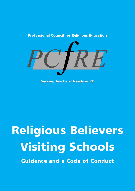

Professional Council for Religious Education

Serving Teachers' Needs in RE

# Religious Believers Visiting Schools

Guidance and a Code of Conduct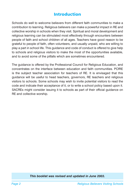### Introduction

Schools do well to welcome believers from different faith communities to make a contribution to learning. Religious believers can make a powerful impact in RE and collective worship in schools when they visit. Spiritual and moral development and religious learning can be stimulated most effectively through encounters between people of faith and school children of all ages. Teachers have good reason to be grateful to people of faith, often volunteers, and usually unpaid, who are willing to play a part in school life. This guidance and code of conduct is offered to give help to schools and religious visitors to make the most of the opportunities available, and to avoid some of the pitfalls which are sometimes encountered.

The guidance is offered by the Professional Council for Religious Education, and concentrates on the interface between education and faith communities. PCfRE is the subject teacher association for teachers of RE. It is envisaged that this guidance will be useful to head teachers, governors, RE teachers and religious visitors to schools. Some schools may wish to invite potential visitors to read the code and indicate their acceptance of it, or to write a school policy based upon it. SACREs might consider issuing it to schools as part of their official guidance on RE and collective worship.

#### *This booklet was revised and updated in June 2003.*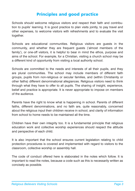#### Principles and good practice

Schools should welcome religious visitors and respect their faith and contribution to pupils' learning. It is good practice to plan visits jointly, to pay travel and other expenses, to welcome visitors with refreshments and to evaluate the visit together.

Schools are educational communities. Religious visitors are guests in the community, and whether they are frequent guests ('almost members of the family'), or one-off visitors, it is helpful to bear in mind the ethos, purpose and aims of the school. For example, for a Christian, visiting a church school may be a different kind of opportunity from visiting a local authority school.

Schools are committed to the needs and interests of all their pupils, and they are plural communities. The school may include members of different faith groups, pupils from non-religious or secular families, and (within Christianity or other faiths) different denominational allegiances. Religious visitors need to think through what they have to offer to all pupils. The sharing of insight, experience, belief and practice is appropriate. It is never appropriate to impose on members of the audience.

Parents have the right to know what is happening in school. Parents of different faiths, different denominations, and no faith are, quite reasonably, concerned about the religious input their children receive in school, and clarity of information from school to home needs to be maintained all the time.

Children have their own integrity too. It is a fundamental principle that religious education work and collective worship experiences should respect the attitude and perspective of each child.

It is also important that the school ensures current legislation relating to child protection procedures is covered and implemented with regard to visitors to the classroom, collective worship or assembly hall.

The code of conduct offered here is elaborated in the notes which follow. It is important to read the notes, because a code such as this is necessarily written as concisely as possible.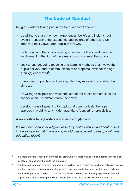## The Code of Conduct

Religious visitors taking part in the life of a school should:

- be willing to share their own experiences, beliefs and insights, but avoid (1) criticising the experience and insights of others and (2) imposing their views upon pupils in any way;
- be familiar with the school's aims, ethos and policies, and plan their involvement in the light of the aims and curriculum at the school<sup>1</sup>;
- seek to use engaging teaching and learning methods that involve the pupils actively, and to communicate at appropriate levels for the agegroup(s) concerned<sup>2</sup>;
- make clear to pupils who they are, who they represent, and what their aims are;
- be willing to respect and value the faith of the pupils and adults in the school when it is different from their own;
- develop ways of speaking to pupils that communicate their open approach, avoiding any hidden agenda to 'convert' or proselytise.

#### *A key question to help visitors reflect on their approach:*

*If a member of another religion visited my child's school and contributed in the same way that I have done, would I, as a parent, be happy with the education given?*

- $1$  It is more effective to take part in the regular programme of teaching and learning, rather than make an isolated or one-off contribution to the curriculum.
- <sup>2</sup> The two most common problems for pupils when visitors make a classroom visit or in collective worship are that they listen to a lengthy monologue, with more or less attention, and that they can't understand: the material presented is often too hard and sometimes too easy, and the language used is over the pupils' heads or sometimes patronising. Visitors who avoid these pitfalls will be more effective.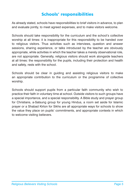### Schools' responsibilities

As already stated, schools have responsibilities to brief visitors in advance, to plan and evaluate jointly, to meet agreed expenses, and to make visitors welcome.

Schools should take responsibility for the curriculum and the school's collective worship at all times: it is inappropriate for this responsibility to be handed over to religious visitors. Thus activities such as interviews, question and answer sessions, sharing experience, or talks introduced by the teacher are obviously appropriate, while activities in which the teacher takes a merely observational role, are not appropriate. Generally, religious visitors should work alongside teachers at all times: the responsibility for the pupils, including their protection and health and safety, rests with the school.

Schools should be clear in guiding and assisting religious visitors to make an appropriate contribution to the curriculum or the programme of collective worship.

Schools should support pupils from a particular faith community who wish to practice their faith in voluntary time at school. Outside visitors to such groups have a special importance, and a special responsibility. A Bible study and prayer group for Christians, a-Satsung group for young Hindus, a room set aside for Islamic prayer or a Shabad Kirton for Sikhs are all appropriate ways for schools to show the value they place on pupils' commitments, and appropriate contexts in which to welcome visiting believers.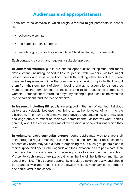#### Audiences and appropriateness

There are three contexts in which religious visitors might participate in school life:

- collective worship;
- the curriculum (including RE);
- voluntary groups, such as a lunchtime Christian Union, or Islamic salah.

Each context is distinct, and requires a suitable approach.

In collective worship pupils are offered opportunities for spiritual and moral development, including opportunities to join in with worship. Visitors might present ideas and experience from their faith, making clear the value of these ideas and experiences within the community, and asking pupils to think about them from their own point of view. In leading prayer, no assumptions should be made about the commitments of the pupils: no religion advocates compulsory worship! Some teachers introduce prayer by offering pupils a choice between the role of participant, and the role of observer.

In lessons, including RE, pupils are engaged in the task of learning. Religious visitors are valuable because they bring an authentic voice of faith into the classroom. This may be informative, help develop understanding, and may also challenge pupils to reflect on their own commitments. Visitors will want to think carefully about the educational aims of the session(s) or contributions which they offer.

In voluntary, extra-curricular groups, some pupils may wish to share their faith through a regular meeting or club outside curriculum time. Pupils, teachers, parents or visitors may take a lead in organising this. If such groups are clear in their purpose and open in their agenda and their invitation to all to participate, then they have the function of enabling believing pupils to share their faith in school. Visitors to such groups are participating in the life of the faith community, on school premises. This special opportunity should be taken seriously, and should be arranged with appropriate liaison between visitors, voluntary pupils' groups and senior staff in the school.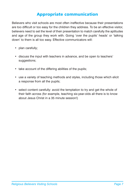#### Appropriate communication

Believers who visit schools are most often ineffective because their presentations are too difficult or too easy for the children they address. To be an effective visitor, believers need to set the level of their presentation to match carefully the aptitudes and age of the group they work with. Going 'over the pupils' heads' or 'talking down' to them is all too easy. Effective communicators will:

- plan carefully;
- discuss the input with teachers in advance, and be open to teachers' suggestions;
- take account of the differing abilities of the pupils;
- use a variety of teaching methods and styles, including those which elicit a response from all the pupils;
- select content carefully: avoid the temptation to try and get the whole of their faith across (for example, teaching six-year-olds all there is to know about Jesus Christ in a 35 minute session!)